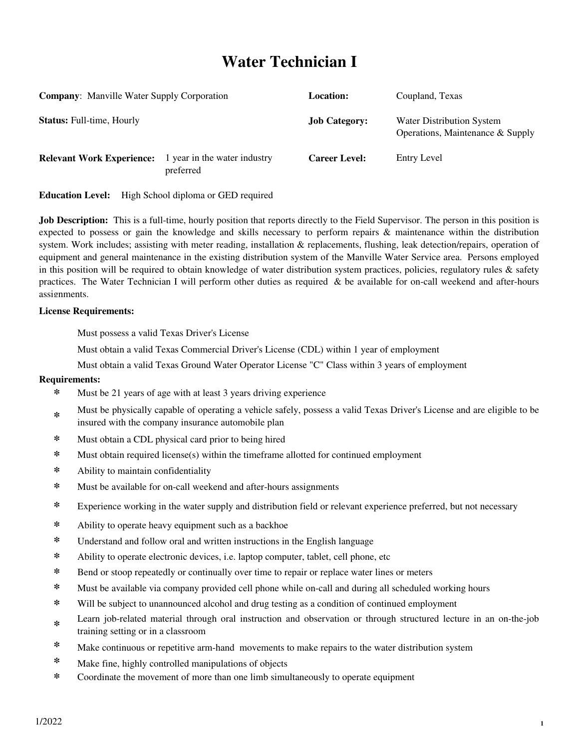# **Water Technician I**

| <b>Company:</b> Manville Water Supply Corporation<br><b>Status: Full-time, Hourly</b> |  | <b>Location:</b><br><b>Job Category:</b> | Coupland, Texas<br><b>Water Distribution System</b><br>Operations, Maintenance & Supply |
|---------------------------------------------------------------------------------------|--|------------------------------------------|-----------------------------------------------------------------------------------------|
|                                                                                       |  |                                          |                                                                                         |

**Education Level:** High School diploma or GED required

**Job Description:** This is a full-time, hourly position that reports directly to the Field Supervisor. The person in this position is expected to possess or gain the knowledge and skills necessary to perform repairs & maintenance within the distribution system. Work includes; assisting with meter reading, installation & replacements, flushing, leak detection/repairs, operation of equipment and general maintenance in the existing distribution system of the Manville Water Service area. Persons employed in this position will be required to obtain knowledge of water distribution system practices, policies, regulatory rules & safety practices. The Water Technician I will perform other duties as required & be available for on-call weekend and after-hours assignments.

#### **License Requirements:**

Must possess a valid Texas Driver's License

Must obtain a valid Texas Commercial Driver's License (CDL) within 1 year of employment

Must obtain a valid Texas Ground Water Operator License "C" Class within 3 years of employment

#### **Requirements:**

- **\*** Must be 21 years of age with at least 3 years driving experience
- **\*** Must be physically capable of operating a vehicle safely, possess a valid Texas Driver's License and are eligible to be insured with the company insurance automobile plan
- **\*** Must obtain a CDL physical card prior to being hired
- **\*** Must obtain required license(s) within the timeframe allotted for continued employment
- **\*** Ability to maintain confidentiality
- **\*** Must be available for on-call weekend and after-hours assignments
- **\*** Experience working in the water supply and distribution field or relevant experience preferred, but not necessary
- **\*** Ability to operate heavy equipment such as a backhoe
- **\*** Understand and follow oral and written instructions in the English language
- **\*** Ability to operate electronic devices, i.e. laptop computer, tablet, cell phone, etc
- **\*** Bend or stoop repeatedly or continually over time to repair or replace water lines or meters
- **\*** Must be available via company provided cell phone while on-call and during all scheduled working hours
- **\*** Will be subject to unannounced alcohol and drug testing as a condition of continued employment
- **\*** Learn job-related material through oral instruction and observation or through structured lecture in an on-the-job training setting or in a classroom
- **\*** Make continuous or repetitive arm-hand movements to make repairs to the water distribution system
- **\*** Make fine, highly controlled manipulations of objects
- **\*** Coordinate the movement of more than one limb simultaneously to operate equipment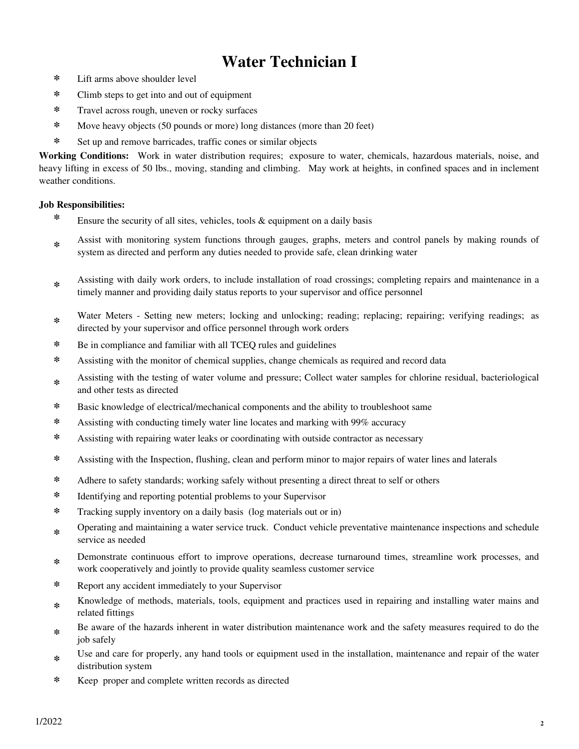# **Water Technician I**

- **\*** Lift arms above shoulder level
- **\*** Climb steps to get into and out of equipment
- **\*** Travel across rough, uneven or rocky surfaces
- **\*** Move heavy objects (50 pounds or more) long distances (more than 20 feet)
- **\*** Set up and remove barricades, traffic cones or similar objects

**Working Conditions:** Work in water distribution requires; exposure to water, chemicals, hazardous materials, noise, and heavy lifting in excess of 50 lbs., moving, standing and climbing. May work at heights, in confined spaces and in inclement weather conditions.

### **Job Responsibilities:**

- **\*** Ensure the security of all sites, vehicles, tools & equipment on a daily basis
- **\*** Assist with monitoring system functions through gauges, graphs, meters and control panels by making rounds of system as directed and perform any duties needed to provide safe, clean drinking water
- **\*** Assisting with daily work orders, to include installation of road crossings; completing repairs and maintenance in a timely manner and providing daily status reports to your supervisor and office personnel
- **\*** Water Meters - Setting new meters; locking and unlocking; reading; replacing; repairing; verifying readings; as directed by your supervisor and office personnel through work orders
- **\*** Be in compliance and familiar with all TCEQ rules and guidelines
- **\*** Assisting with the monitor of chemical supplies, change chemicals as required and record data
- **\*** Assisting with the testing of water volume and pressure; Collect water samples for chlorine residual, bacteriological and other tests as directed
- **\*** Basic knowledge of electrical/mechanical components and the ability to troubleshoot same
- **\*** Assisting with conducting timely water line locates and marking with 99% accuracy
- **\*** Assisting with repairing water leaks or coordinating with outside contractor as necessary
- **\*** Assisting with the Inspection, flushing, clean and perform minor to major repairs of water lines and laterals
- **\*** Adhere to safety standards; working safely without presenting a direct threat to self or others
- **\*** Identifying and reporting potential problems to your Supervisor
- **\*** Tracking supply inventory on a daily basis (log materials out or in)
- **\*** Operating and maintaining a water service truck. Conduct vehicle preventative maintenance inspections and schedule service as needed
- **\*** Demonstrate continuous effort to improve operations, decrease turnaround times, streamline work processes, and work cooperatively and jointly to provide quality seamless customer service
- **\*** Report any accident immediately to your Supervisor
- **\*** Knowledge of methods, materials, tools, equipment and practices used in repairing and installing water mains and related fittings
- **\*** Be aware of the hazards inherent in water distribution maintenance work and the safety measures required to do the job safely
- **\*** Use and care for properly, any hand tools or equipment used in the installation, maintenance and repair of the water distribution system
- **\*** Keep proper and complete written records as directed